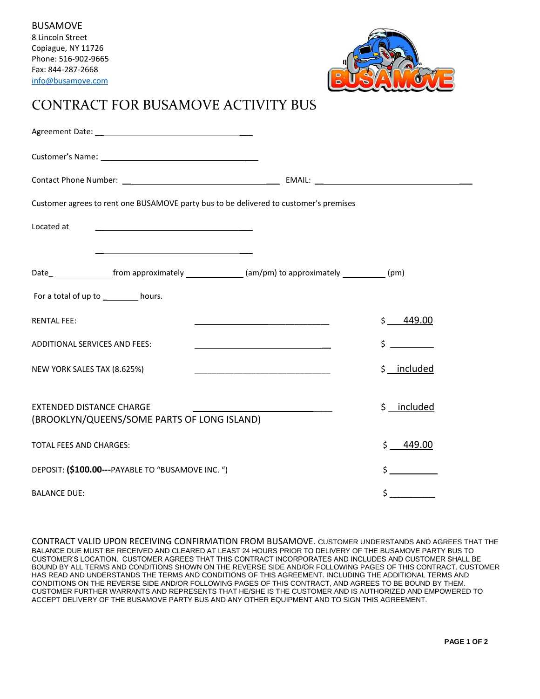

## CONTRACT FOR BUSAMOVE ACTIVITY BUS

| Customer agrees to rent one BUSAMOVE party bus to be delivered to customer's premises                                |                                           |
|----------------------------------------------------------------------------------------------------------------------|-------------------------------------------|
| Located at                                                                                                           |                                           |
| <u> 1989 - Johann Stoff, deutscher Stoffen und der Stoffen und der Stoffen und der Stoffen und der Stoffen und d</u> |                                           |
| Date____________________from approximately ________________(am/pm) to approximately ____________(pm)                 |                                           |
| For a total of up to _________ hours.                                                                                |                                           |
| <b>RENTAL FEE:</b>                                                                                                   | \$449.00                                  |
| <b>ADDITIONAL SERVICES AND FEES:</b><br><u> 1989 - Johann Stoff, amerikansk politiker (</u>                          | $\frac{1}{2}$                             |
| NEW YORK SALES TAX (8.625%)                                                                                          | \$ _ included                             |
|                                                                                                                      |                                           |
| <b>EXTENDED DISTANCE CHARGE</b><br>(BROOKLYN/QUEENS/SOME PARTS OF LONG ISLAND)                                       | \$ included                               |
| <b>TOTAL FEES AND CHARGES:</b>                                                                                       | $\mathsf{\dot{S}}$<br>449.00              |
| DEPOSIT: (\$100.00---PAYABLE TO "BUSAMOVE INC. ")                                                                    | $\mathsf{\dot{S}}$ and $\mathsf{\dot{S}}$ |
| <b>BALANCE DUE:</b>                                                                                                  | \$                                        |

CONTRACT VALID UPON RECEIVING CONFIRMATION FROM BUSAMOVE. CUSTOMER UNDERSTANDS AND AGREES THAT THE BALANCE DUE MUST BE RECEIVED AND CLEARED AT LEAST 24 HOURS PRIOR TO DELIVERY OF THE BUSAMOVE PARTY BUS TO CUSTOMER'S LOCATION. CUSTOMER AGREES THAT THIS CONTRACT INCORPORATES AND INCLUDES AND CUSTOMER SHALL BE BOUND BY ALL TERMS AND CONDITIONS SHOWN ON THE REVERSE SIDE AND/OR FOLLOWING PAGES OF THIS CONTRACT. CUSTOMER HAS READ AND UNDERSTANDS THE TERMS AND CONDITIONS OF THIS AGREEMENT. INCLUDING THE ADDITIONAL TERMS AND CONDITIONS ON THE REVERSE SIDE AND/OR FOLLOWING PAGES OF THIS CONTRACT, AND AGREES TO BE BOUND BY THEM. CUSTOMER FURTHER WARRANTS AND REPRESENTS THAT HE/SHE IS THE CUSTOMER AND IS AUTHORIZED AND EMPOWERED TO ACCEPT DELIVERY OF THE BUSAMOVE PARTY BUS AND ANY OTHER EQUIPMENT AND TO SIGN THIS AGREEMENT.